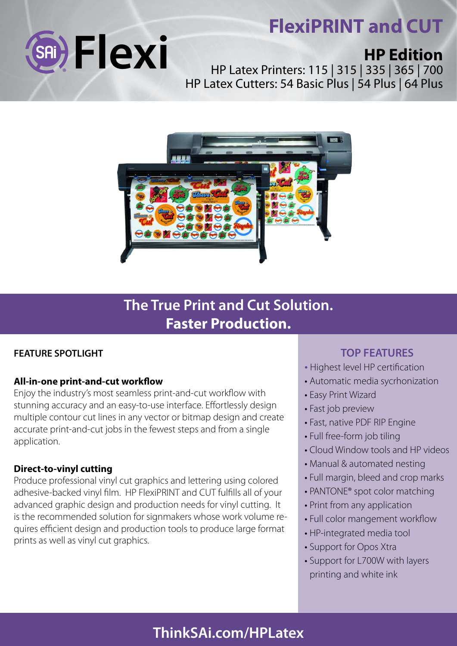# **FlexiPRINT and CUT**



## **HP Edition**

HP Latex Printers: 115 | 315 | 335 | 365 | 700 HP Latex Cutters: 54 Basic Plus | 54 Plus | 64 Plus



### **The True Print and Cut Solution. Faster Production.**

### **FEATURE SPOTLIGHT**

### **All-in-one print-and-cut workflow**

Enjoy the industry's most seamless print-and-cut workflow with stunning accuracy and an easy-to-use interface. Effortlessly design multiple contour cut lines in any vector or bitmap design and create accurate print-and-cut jobs in the fewest steps and from a single application.

#### **Direct-to-vinyl cutting**

Produce professional vinyl cut graphics and lettering using colored adhesive-backed vinyl film. HP FlexiPRINT and CUT fulfills all of your advanced graphic design and production needs for vinyl cutting. It is the recommended solution for signmakers whose work volume requires efficient design and production tools to produce large format prints as well as vinyl cut graphics.

### **TOP FEATURES**

- Highest level HP certification
- Automatic media sycrhonization
- Easy Print Wizard
- Fast job preview
- Fast, native PDF RIP Engine
- Full free-form job tiling
- Cloud Window tools and HP videos
- Manual & automated nesting
- Full margin, bleed and crop marks
- PANTONE® spot color matching
- Print from any application
- Full color mangement workflow
- HP-integrated media tool
- Support for Opos Xtra
- Support for L700W with layers printing and white ink

### **ThinkSAi.com/HPLatex**